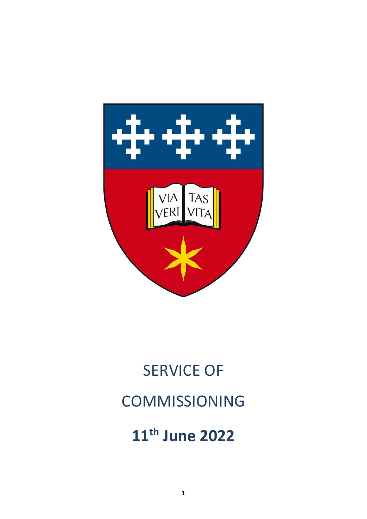

# SERVICE OF COMMISSIONING 11th June 2022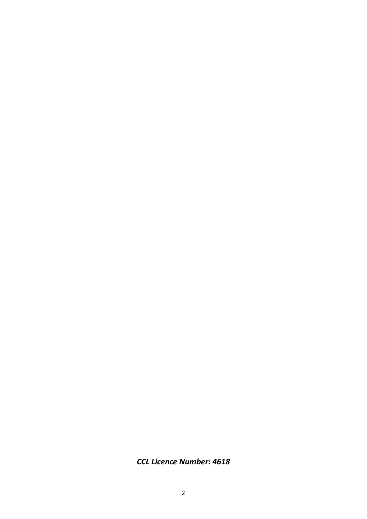CCL Licence Number: 4618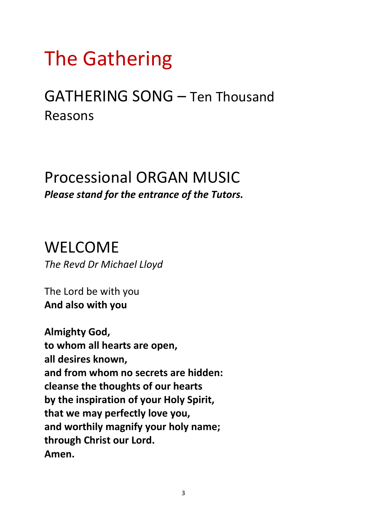# The Gathering

## GATHERING SONG – Ten Thousand Reasons

#### Processional ORGAN MUSIC Please stand for the entrance of the Tutors.

#### WELCOME The Revd Dr Michael Lloyd

The Lord be with you And also with you

Almighty God, to whom all hearts are open, all desires known, and from whom no secrets are hidden: cleanse the thoughts of our hearts by the inspiration of your Holy Spirit, that we may perfectly love you, and worthily magnify your holy name; through Christ our Lord. Amen.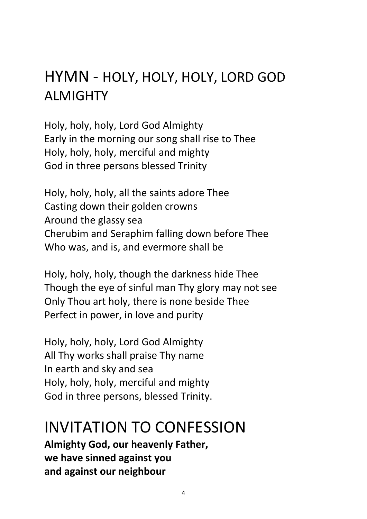## HYMN - HOLY, HOLY, HOLY, LORD GOD ALMIGHTY

Holy, holy, holy, Lord God Almighty Early in the morning our song shall rise to Thee Holy, holy, holy, merciful and mighty God in three persons blessed Trinity

Holy, holy, holy, all the saints adore Thee Casting down their golden crowns Around the glassy sea Cherubim and Seraphim falling down before Thee Who was, and is, and evermore shall be

Holy, holy, holy, though the darkness hide Thee Though the eye of sinful man Thy glory may not see Only Thou art holy, there is none beside Thee Perfect in power, in love and purity

Holy, holy, holy, Lord God Almighty All Thy works shall praise Thy name In earth and sky and sea Holy, holy, holy, merciful and mighty God in three persons, blessed Trinity.

#### INVITATION TO CONFESSION

Almighty God, our heavenly Father, we have sinned against you and against our neighbour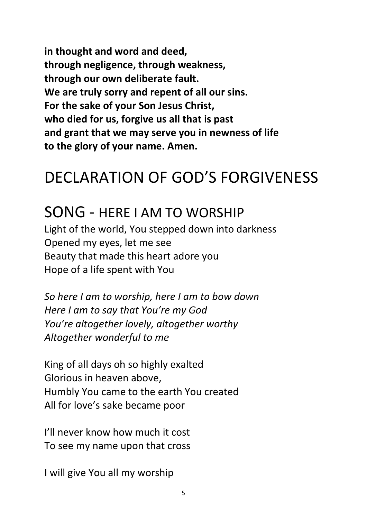in thought and word and deed, through negligence, through weakness, through our own deliberate fault. We are truly sorry and repent of all our sins. For the sake of your Son Jesus Christ, who died for us, forgive us all that is past and grant that we may serve you in newness of life to the glory of your name. Amen.

# DECLARATION OF GOD'S FORGIVENESS

#### SONG - HERE I AM TO WORSHIP

Light of the world, You stepped down into darkness Opened my eyes, let me see Beauty that made this heart adore you Hope of a life spent with You

So here I am to worship, here I am to bow down Here I am to say that You're my God You're altogether lovely, altogether worthy Altogether wonderful to me

King of all days oh so highly exalted Glorious in heaven above, Humbly You came to the earth You created All for love's sake became poor

I'll never know how much it cost To see my name upon that cross

I will give You all my worship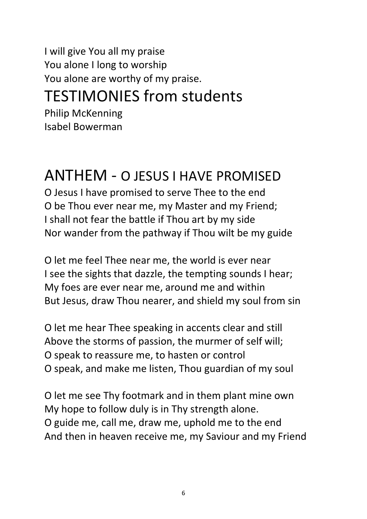#### I will give You all my praise You alone I long to worship You alone are worthy of my praise.

#### TESTIMONIES from students

Philip McKenning Isabel Bowerman

#### ANTHEM - O JESUS I HAVE PROMISED

O Jesus I have promised to serve Thee to the end O be Thou ever near me, my Master and my Friend; I shall not fear the battle if Thou art by my side Nor wander from the pathway if Thou wilt be my guide

O let me feel Thee near me, the world is ever near I see the sights that dazzle, the tempting sounds I hear; My foes are ever near me, around me and within But Jesus, draw Thou nearer, and shield my soul from sin

O let me hear Thee speaking in accents clear and still Above the storms of passion, the murmer of self will; O speak to reassure me, to hasten or control O speak, and make me listen, Thou guardian of my soul

O let me see Thy footmark and in them plant mine own My hope to follow duly is in Thy strength alone. O guide me, call me, draw me, uphold me to the end And then in heaven receive me, my Saviour and my Friend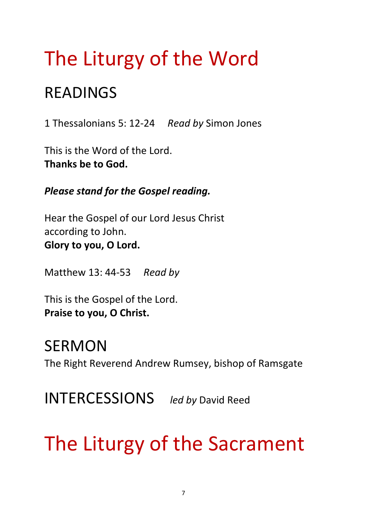# The Liturgy of the Word READINGS

1 Thessalonians 5: 12-24 Read by Simon Jones

This is the Word of the Lord. Thanks be to God.

Please stand for the Gospel reading.

Hear the Gospel of our Lord Jesus Christ according to John. Glory to you, O Lord.

Matthew 13: 44-53 Read by

This is the Gospel of the Lord. Praise to you, O Christ.

## SERMON

The Right Reverend Andrew Rumsey, bishop of Ramsgate

INTERCESSIONS led by David Reed

# The Liturgy of the Sacrament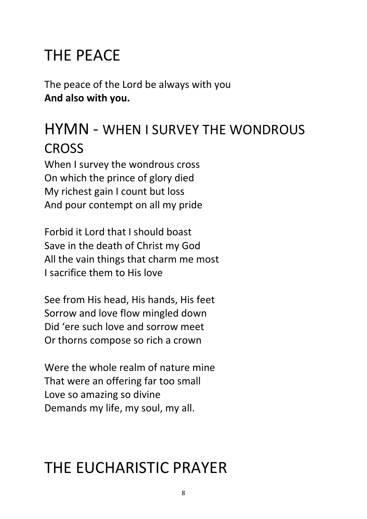# THE PEACE

The peace of the Lord be always with you And also with you.

#### HYMN - WHEN I SURVEY THE WONDROUS **CROSS**

When I survey the wondrous cross On which the prince of glory died My richest gain I count but loss And pour contempt on all my pride

Forbid it Lord that I should boast Save in the death of Christ my God All the vain things that charm me most I sacrifice them to His love

See from His head, His hands, His feet Sorrow and love flow mingled down Did 'ere such love and sorrow meet Or thorns compose so rich a crown

Were the whole realm of nature mine That were an offering far too small Love so amazing so divine Demands my life, my soul, my all.

# THE EUCHARISTIC PRAYER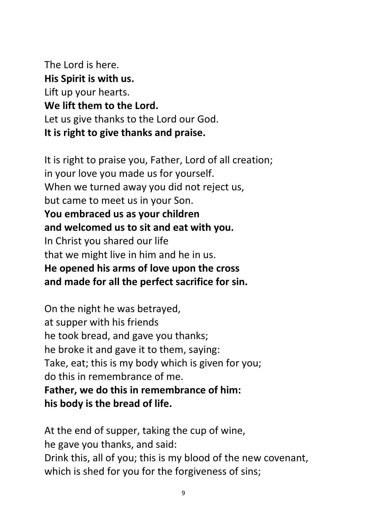The Lord is here. His Spirit is with us. Lift up your hearts. We lift them to the Lord. Let us give thanks to the Lord our God. It is right to give thanks and praise.

It is right to praise you, Father, Lord of all creation; in your love you made us for yourself. When we turned away you did not reject us, but came to meet us in your Son. You embraced us as your children and welcomed us to sit and eat with you. In Christ you shared our life that we might live in him and he in us. He opened his arms of love upon the cross and made for all the perfect sacrifice for sin.

On the night he was betrayed, at supper with his friends he took bread, and gave you thanks; he broke it and gave it to them, saying: Take, eat; this is my body which is given for you; do this in remembrance of me. Father, we do this in remembrance of him: his body is the bread of life.

At the end of supper, taking the cup of wine, he gave you thanks, and said: Drink this, all of you; this is my blood of the new covenant, which is shed for you for the forgiveness of sins;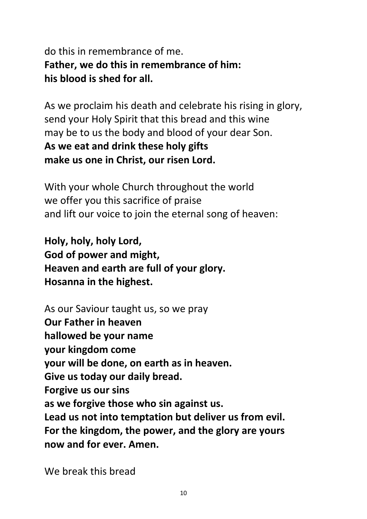do this in remembrance of me. Father, we do this in remembrance of him: his blood is shed for all.

As we proclaim his death and celebrate his rising in glory, send your Holy Spirit that this bread and this wine may be to us the body and blood of your dear Son. As we eat and drink these holy gifts make us one in Christ, our risen Lord.

With your whole Church throughout the world we offer you this sacrifice of praise and lift our voice to join the eternal song of heaven:

Holy, holy, holy Lord, God of power and might, Heaven and earth are full of your glory. Hosanna in the highest.

As our Saviour taught us, so we pray Our Father in heaven hallowed be your name your kingdom come your will be done, on earth as in heaven. Give us today our daily bread. Forgive us our sins as we forgive those who sin against us. Lead us not into temptation but deliver us from evil. For the kingdom, the power, and the glory are yours now and for ever. Amen.

We break this bread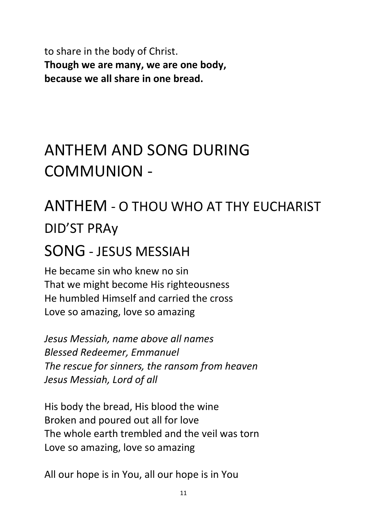to share in the body of Christ. Though we are many, we are one body, because we all share in one bread.

# ANTHEM AND SONG DURING COMMUNION -

#### ANTHEM - O THOU WHO AT THY EUCHARIST

#### DID'ST PRAy

#### SONG - JESUS MESSIAH

He became sin who knew no sin That we might become His righteousness He humbled Himself and carried the cross Love so amazing, love so amazing

Jesus Messiah, name above all names Blessed Redeemer, Emmanuel The rescue for sinners, the ransom from heaven Jesus Messiah, Lord of all

His body the bread, His blood the wine Broken and poured out all for love The whole earth trembled and the veil was torn Love so amazing, love so amazing

All our hope is in You, all our hope is in You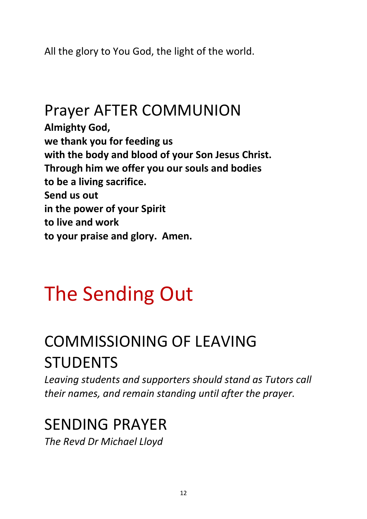All the glory to You God, the light of the world.

#### Prayer AFTER COMMUNION

Almighty God, we thank you for feeding us with the body and blood of your Son Jesus Christ. Through him we offer you our souls and bodies to be a living sacrifice. Send us out in the power of your Spirit to live and work to your praise and glory. Amen.

# The Sending Out

# COMMISSIONING OF LEAVING STUDENTS

Leaving students and supporters should stand as Tutors call their names, and remain standing until after the prayer.

#### SENDING PRAYER

The Revd Dr Michael Lloyd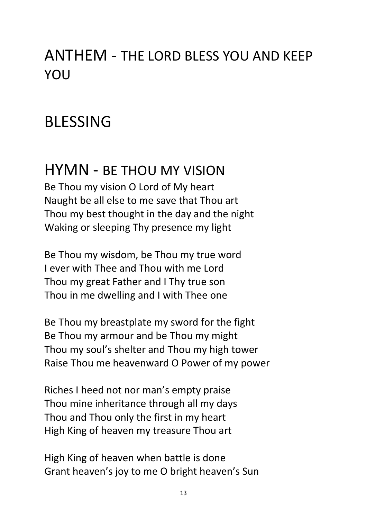#### ANTHEM - THE LORD BLESS YOU AND KEEP YOU

## BLESSING

#### HYMN - BE THOU MY VISION

Be Thou my vision O Lord of My heart Naught be all else to me save that Thou art Thou my best thought in the day and the night Waking or sleeping Thy presence my light

Be Thou my wisdom, be Thou my true word I ever with Thee and Thou with me Lord Thou my great Father and I Thy true son Thou in me dwelling and I with Thee one

Be Thou my breastplate my sword for the fight Be Thou my armour and be Thou my might Thou my soul's shelter and Thou my high tower Raise Thou me heavenward O Power of my power

Riches I heed not nor man's empty praise Thou mine inheritance through all my days Thou and Thou only the first in my heart High King of heaven my treasure Thou art

High King of heaven when battle is done Grant heaven's joy to me O bright heaven's Sun